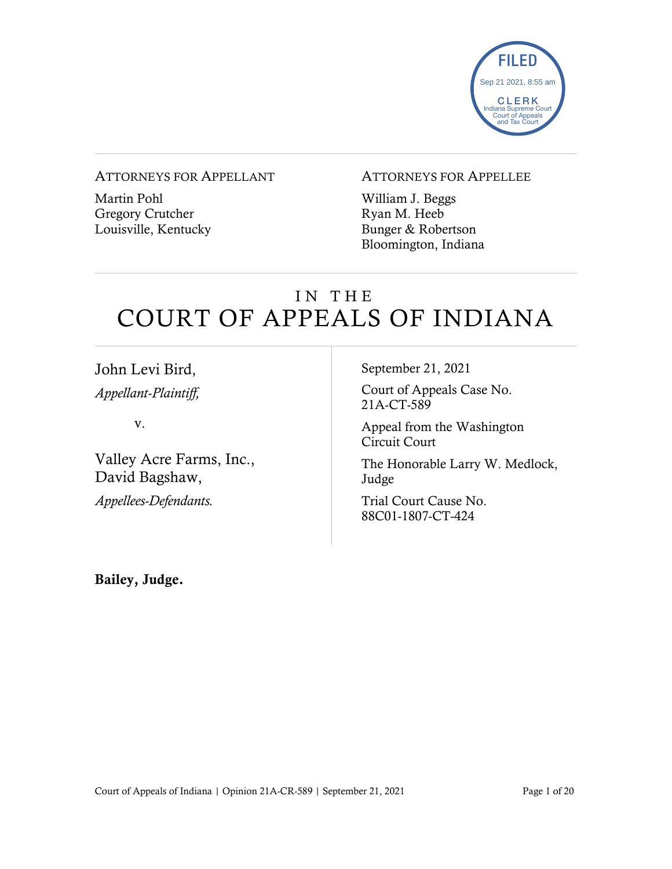

#### ATTORNEYS FOR APPELLANT

Martin Pohl Gregory Crutcher Louisville, Kentucky

#### ATTORNEYS FOR APPELLEE

William J. Beggs Ryan M. Heeb Bunger & Robertson Bloomington, Indiana

## IN THE COURT OF APPEALS OF INDIANA

John Levi Bird, *Appellant-Plaintiff,*

v.

Valley Acre Farms, Inc., David Bagshaw,

*Appellees-Defendants.* 

September 21, 2021

Court of Appeals Case No. 21A-CT-589

Appeal from the Washington Circuit Court

The Honorable Larry W. Medlock, Judge

Trial Court Cause No. 88C01-1807-CT-424

Bailey, Judge.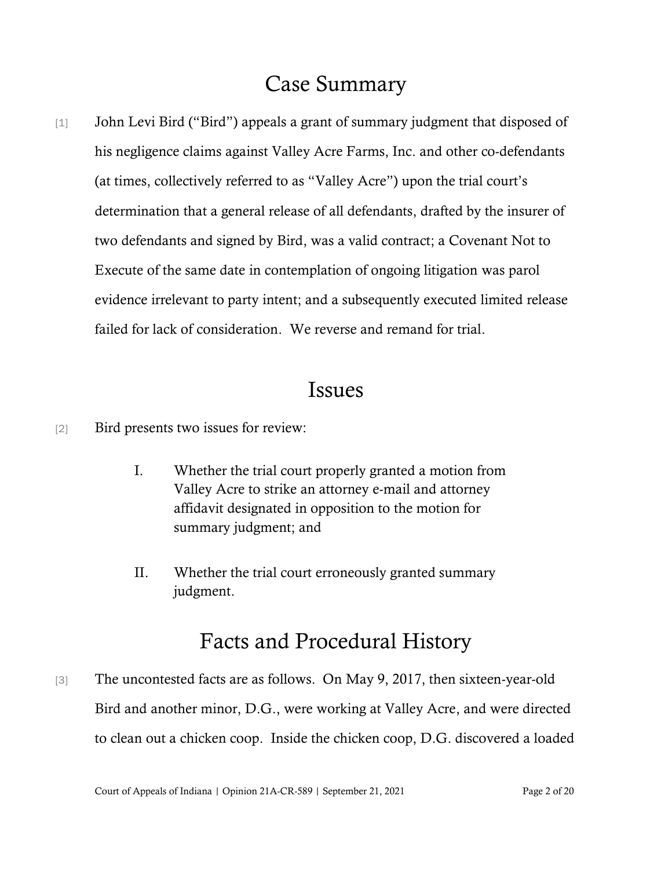## Case Summary

[1] John Levi Bird ("Bird") appeals a grant of summary judgment that disposed of his negligence claims against Valley Acre Farms, Inc. and other co-defendants (at times, collectively referred to as "Valley Acre") upon the trial court's determination that a general release of all defendants, drafted by the insurer of two defendants and signed by Bird, was a valid contract; a Covenant Not to Execute of the same date in contemplation of ongoing litigation was parol evidence irrelevant to party intent; and a subsequently executed limited release failed for lack of consideration. We reverse and remand for trial.

### Issues

- [2] Bird presents two issues for review:
	- I. Whether the trial court properly granted a motion from Valley Acre to strike an attorney e-mail and attorney affidavit designated in opposition to the motion for summary judgment; and
	- II. Whether the trial court erroneously granted summary judgment.

### Facts and Procedural History

[3] The uncontested facts are as follows. On May 9, 2017, then sixteen-year-old Bird and another minor, D.G., were working at Valley Acre, and were directed to clean out a chicken coop. Inside the chicken coop, D.G. discovered a loaded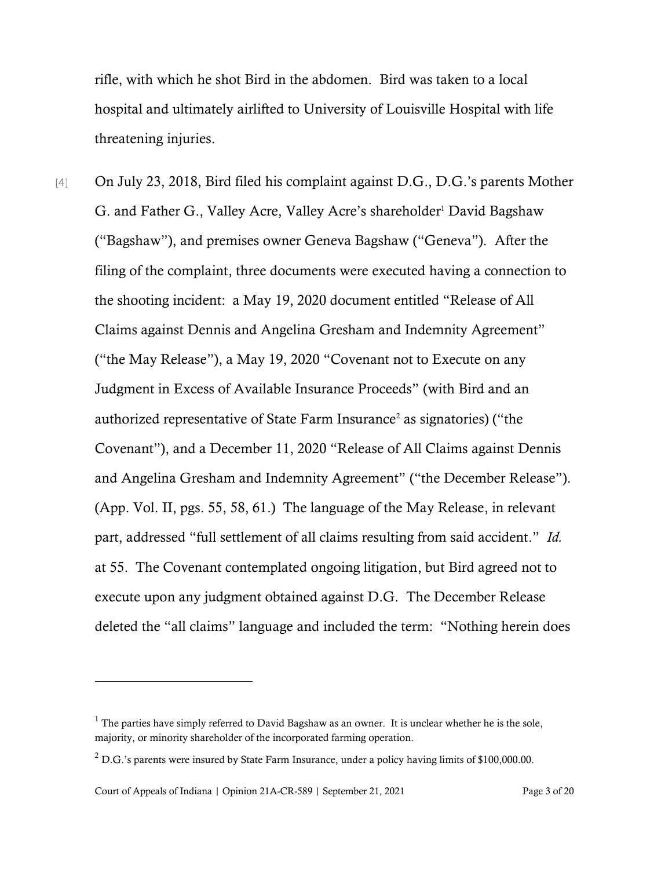rifle, with which he shot Bird in the abdomen. Bird was taken to a local hospital and ultimately airlifted to University of Louisville Hospital with life threatening injuries.

[4] On July 23, 2018, Bird filed his complaint against D.G., D.G.'s parents Mother G. and Father G., Valley Acre, Valley Acre's shareholder<sup>1</sup> David Bagshaw ("Bagshaw"), and premises owner Geneva Bagshaw ("Geneva"). After the filing of the complaint, three documents were executed having a connection to the shooting incident: a May 19, 2020 document entitled "Release of All Claims against Dennis and Angelina Gresham and Indemnity Agreement" ("the May Release"), a May 19, 2020 "Covenant not to Execute on any Judgment in Excess of Available Insurance Proceeds" (with Bird and an authorized representative of State Farm Insurance<sup>2</sup> as signatories) ("the Covenant"), and a December 11, 2020 "Release of All Claims against Dennis and Angelina Gresham and Indemnity Agreement" ("the December Release"). (App. Vol. II, pgs. 55, 58, 61.) The language of the May Release, in relevant part, addressed "full settlement of all claims resulting from said accident." *Id.* at 55. The Covenant contemplated ongoing litigation, but Bird agreed not to execute upon any judgment obtained against D.G. The December Release deleted the "all claims" language and included the term: "Nothing herein does

 $1$  The parties have simply referred to David Bagshaw as an owner. It is unclear whether he is the sole, majority, or minority shareholder of the incorporated farming operation.

 $2$  D.G.'s parents were insured by State Farm Insurance, under a policy having limits of \$100,000.00.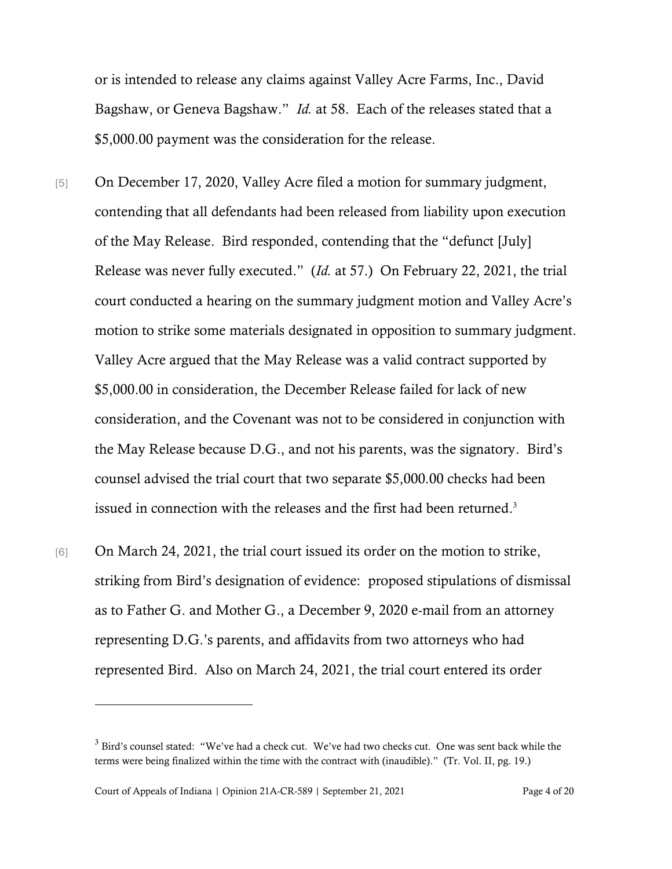or is intended to release any claims against Valley Acre Farms, Inc., David Bagshaw, or Geneva Bagshaw." *Id.* at 58. Each of the releases stated that a \$5,000.00 payment was the consideration for the release.

- [5] On December 17, 2020, Valley Acre filed a motion for summary judgment, contending that all defendants had been released from liability upon execution of the May Release. Bird responded, contending that the "defunct [July] Release was never fully executed." (*Id.* at 57.) On February 22, 2021, the trial court conducted a hearing on the summary judgment motion and Valley Acre's motion to strike some materials designated in opposition to summary judgment. Valley Acre argued that the May Release was a valid contract supported by \$5,000.00 in consideration, the December Release failed for lack of new consideration, and the Covenant was not to be considered in conjunction with the May Release because D.G., and not his parents, was the signatory. Bird's counsel advised the trial court that two separate \$5,000.00 checks had been issued in connection with the releases and the first had been returned. 3
- [6] On March 24, 2021, the trial court issued its order on the motion to strike, striking from Bird's designation of evidence: proposed stipulations of dismissal as to Father G. and Mother G., a December 9, 2020 e-mail from an attorney representing D.G.'s parents, and affidavits from two attorneys who had represented Bird. Also on March 24, 2021, the trial court entered its order

Court of Appeals of Indiana | Opinion 21A-CR-589 | September 21, 2021 Page 4 of 20

<sup>3</sup> Bird's counsel stated: "We've had a check cut. We've had two checks cut. One was sent back while the terms were being finalized within the time with the contract with (inaudible)." (Tr. Vol. II, pg. 19.)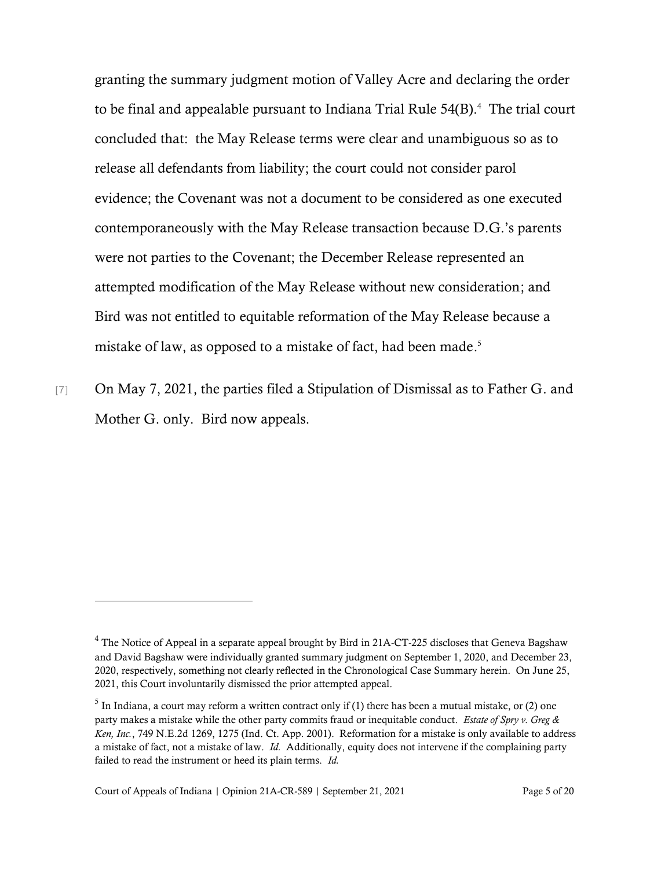granting the summary judgment motion of Valley Acre and declaring the order to be final and appealable pursuant to Indiana Trial Rule 54(B). 4 The trial court concluded that: the May Release terms were clear and unambiguous so as to release all defendants from liability; the court could not consider parol evidence; the Covenant was not a document to be considered as one executed contemporaneously with the May Release transaction because D.G.'s parents were not parties to the Covenant; the December Release represented an attempted modification of the May Release without new consideration; and Bird was not entitled to equitable reformation of the May Release because a mistake of law, as opposed to a mistake of fact, had been made. 5

[7] On May 7, 2021, the parties filed a Stipulation of Dismissal as to Father G. and Mother G. only. Bird now appeals.

<sup>&</sup>lt;sup>4</sup> The Notice of Appeal in a separate appeal brought by Bird in 21A-CT-225 discloses that Geneva Bagshaw and David Bagshaw were individually granted summary judgment on September 1, 2020, and December 23, 2020, respectively, something not clearly reflected in the Chronological Case Summary herein. On June 25, 2021, this Court involuntarily dismissed the prior attempted appeal.

<sup>&</sup>lt;sup>5</sup> In Indiana, a court may reform a written contract only if (1) there has been a mutual mistake, or (2) one party makes a mistake while the other party commits fraud or inequitable conduct. *Estate of Spry v. Greg & Ken, Inc.*, 749 N.E.2d 1269, 1275 (Ind. Ct. App. 2001). Reformation for a mistake is only available to address a mistake of fact, not a mistake of law. *Id.* Additionally, equity does not intervene if the complaining party failed to read the instrument or heed its plain terms. *Id.*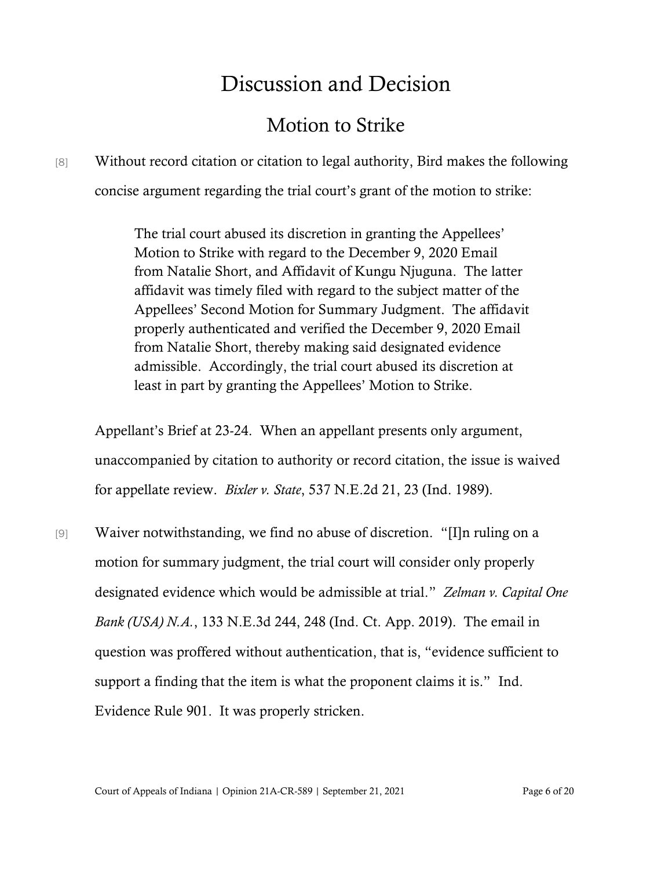# Discussion and Decision

### Motion to Strike

## [8] Without record citation or citation to legal authority, Bird makes the following concise argument regarding the trial court's grant of the motion to strike:

The trial court abused its discretion in granting the Appellees' Motion to Strike with regard to the December 9, 2020 Email from Natalie Short, and Affidavit of Kungu Njuguna. The latter affidavit was timely filed with regard to the subject matter of the Appellees' Second Motion for Summary Judgment. The affidavit properly authenticated and verified the December 9, 2020 Email from Natalie Short, thereby making said designated evidence admissible. Accordingly, the trial court abused its discretion at least in part by granting the Appellees' Motion to Strike.

Appellant's Brief at 23-24. When an appellant presents only argument, unaccompanied by citation to authority or record citation, the issue is waived for appellate review. *Bixler v. State*, 537 N.E.2d 21, 23 (Ind. 1989).

[9] Waiver notwithstanding, we find no abuse of discretion. "[I]n ruling on a motion for summary judgment, the trial court will consider only properly designated evidence which would be admissible at trial." *Zelman v. Capital One Bank (USA) N.A.*, 133 N.E.3d 244, 248 (Ind. Ct. App. 2019). The email in question was proffered without authentication, that is, "evidence sufficient to support a finding that the item is what the proponent claims it is." Ind. Evidence Rule 901. It was properly stricken.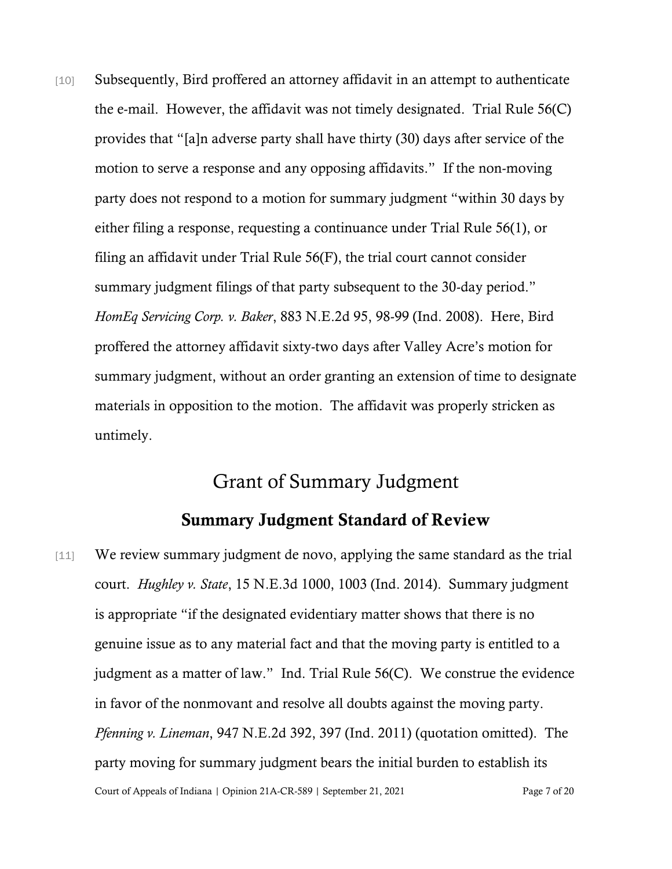[10] Subsequently, Bird proffered an attorney affidavit in an attempt to authenticate the e-mail. However, the affidavit was not timely designated. Trial Rule 56(C) provides that "[a]n adverse party shall have thirty (30) days after service of the motion to serve a response and any opposing affidavits." If the non-moving party does not respond to a motion for summary judgment "within 30 days by either filing a response, requesting a continuance under Trial Rule 56(1), or filing an affidavit under Trial Rule 56(F), the trial court cannot consider summary judgment filings of that party subsequent to the 30-day period." *HomEq Servicing Corp. v. Baker*, 883 N.E.2d 95, 98-99 (Ind. 2008). Here, Bird proffered the attorney affidavit sixty-two days after Valley Acre's motion for summary judgment, without an order granting an extension of time to designate materials in opposition to the motion. The affidavit was properly stricken as untimely.

### Grant of Summary Judgment

#### Summary Judgment Standard of Review

Court of Appeals of Indiana | Opinion 21A-CR-589 | September 21, 2021 Page 7 of 20 [11] We review summary judgment de novo, applying the same standard as the trial court. *Hughley v. State*, 15 N.E.3d 1000, 1003 (Ind. 2014). Summary judgment is appropriate "if the designated evidentiary matter shows that there is no genuine issue as to any material fact and that the moving party is entitled to a judgment as a matter of law." Ind. Trial Rule 56(C). We construe the evidence in favor of the nonmovant and resolve all doubts against the moving party. *Pfenning v. Lineman*, 947 N.E.2d 392, 397 (Ind. 2011) (quotation omitted). The party moving for summary judgment bears the initial burden to establish its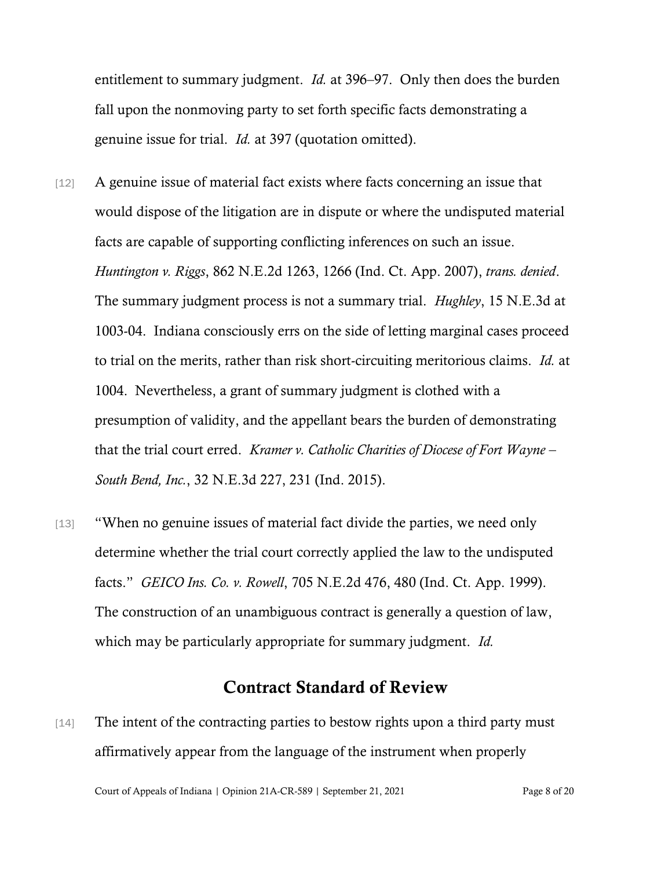entitlement to summary judgment. *Id.* at 396–97. Only then does the burden fall upon the nonmoving party to set forth specific facts demonstrating a genuine issue for trial. *Id.* at 397 (quotation omitted).

- [12] A genuine issue of material fact exists where facts concerning an issue that would dispose of the litigation are in dispute or where the undisputed material facts are capable of supporting conflicting inferences on such an issue. *Huntington v. Riggs*, 862 N.E.2d 1263, 1266 (Ind. Ct. App. 2007), *trans. denied*. The summary judgment process is not a summary trial. *Hughley*, 15 N.E.3d at 1003-04. Indiana consciously errs on the side of letting marginal cases proceed to trial on the merits, rather than risk short-circuiting meritorious claims. *Id.* at 1004. Nevertheless, a grant of summary judgment is clothed with a presumption of validity, and the appellant bears the burden of demonstrating that the trial court erred. *Kramer v. Catholic Charities of Diocese of Fort Wayne – South Bend, Inc.*, 32 N.E.3d 227, 231 (Ind. 2015).
- [13] "When no genuine issues of material fact divide the parties, we need only determine whether the trial court correctly applied the law to the undisputed facts." *GEICO Ins. Co. v. Rowell*, 705 N.E.2d 476, 480 (Ind. Ct. App. 1999). The construction of an unambiguous contract is generally a question of law, which may be particularly appropriate for summary judgment. *Id.*

#### Contract Standard of Review

[14] The intent of the contracting parties to bestow rights upon a third party must affirmatively appear from the language of the instrument when properly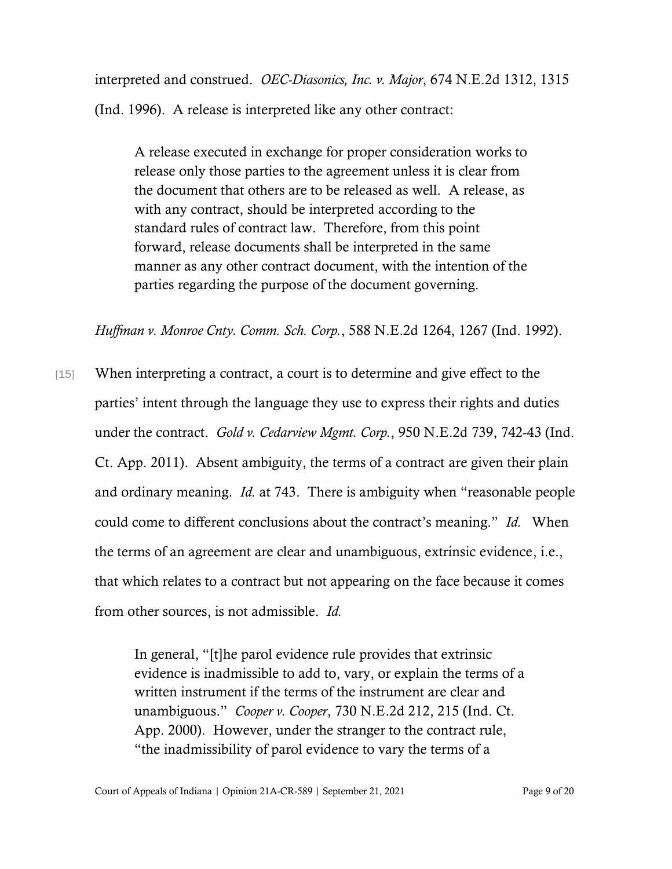interpreted and construed. *OEC-Diasonics, Inc. v. Major*, 674 N.E.2d 1312, 1315 (Ind. 1996). A release is interpreted like any other contract:

A release executed in exchange for proper consideration works to release only those parties to the agreement unless it is clear from the document that others are to be released as well. A release, as with any contract, should be interpreted according to the standard rules of contract law. Therefore, from this point forward, release documents shall be interpreted in the same manner as any other contract document, with the intention of the parties regarding the purpose of the document governing.

*Huffman v. Monroe Cnty. Comm. Sch. Corp.*, 588 N.E.2d 1264, 1267 (Ind. 1992).

[15] When interpreting a contract, a court is to determine and give effect to the parties' intent through the language they use to express their rights and duties under the contract. *Gold v. Cedarview Mgmt. Corp.*, 950 N.E.2d 739, 742-43 (Ind. Ct. App. 2011). Absent ambiguity, the terms of a contract are given their plain and ordinary meaning. *Id.* at 743. There is ambiguity when "reasonable people could come to different conclusions about the contract's meaning." *Id.* When the terms of an agreement are clear and unambiguous, extrinsic evidence, i.e., that which relates to a contract but not appearing on the face because it comes from other sources, is not admissible. *Id.*

> In general, "[t]he parol evidence rule provides that extrinsic evidence is inadmissible to add to, vary, or explain the terms of a written instrument if the terms of the instrument are clear and unambiguous." *Cooper v. Cooper*, 730 N.E.2d 212, 215 (Ind. Ct. App. 2000). However, under the stranger to the contract rule, "the inadmissibility of parol evidence to vary the terms of a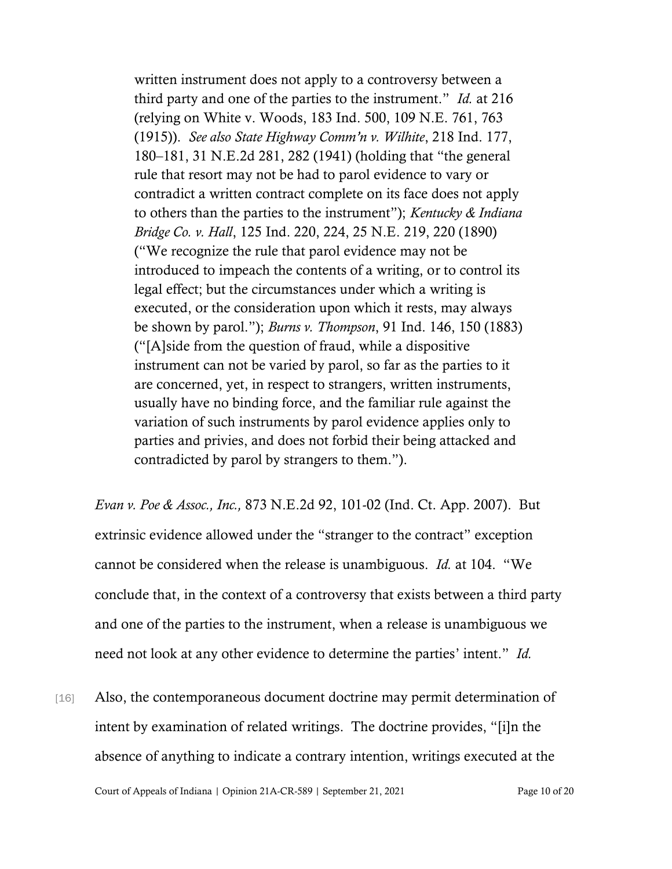written instrument does not apply to a controversy between a third party and one of the parties to the instrument." *Id.* at 216 (relying on White v. Woods, 183 Ind. 500, 109 N.E. 761, 763 (1915)). *See also State Highway Comm'n v. Wilhite*, 218 Ind. 177, 180–181, 31 N.E.2d 281, 282 (1941) (holding that "the general rule that resort may not be had to parol evidence to vary or contradict a written contract complete on its face does not apply to others than the parties to the instrument"); *Kentucky & Indiana Bridge Co. v. Hall*, 125 Ind. 220, 224, 25 N.E. 219, 220 (1890) ("We recognize the rule that parol evidence may not be introduced to impeach the contents of a writing, or to control its legal effect; but the circumstances under which a writing is executed, or the consideration upon which it rests, may always be shown by parol."); *Burns v. Thompson*, 91 Ind. 146, 150 (1883) ("[A]side from the question of fraud, while a dispositive instrument can not be varied by parol, so far as the parties to it are concerned, yet, in respect to strangers, written instruments, usually have no binding force, and the familiar rule against the variation of such instruments by parol evidence applies only to parties and privies, and does not forbid their being attacked and contradicted by parol by strangers to them.").

*Evan v. Poe & Assoc., Inc.,* 873 N.E.2d 92, 101-02 (Ind. Ct. App. 2007). But extrinsic evidence allowed under the "stranger to the contract" exception cannot be considered when the release is unambiguous. *Id.* at 104. "We conclude that, in the context of a controversy that exists between a third party and one of the parties to the instrument, when a release is unambiguous we need not look at any other evidence to determine the parties' intent." *Id.*

[16] Also, the contemporaneous document doctrine may permit determination of intent by examination of related writings. The doctrine provides, "[i]n the absence of anything to indicate a contrary intention, writings executed at the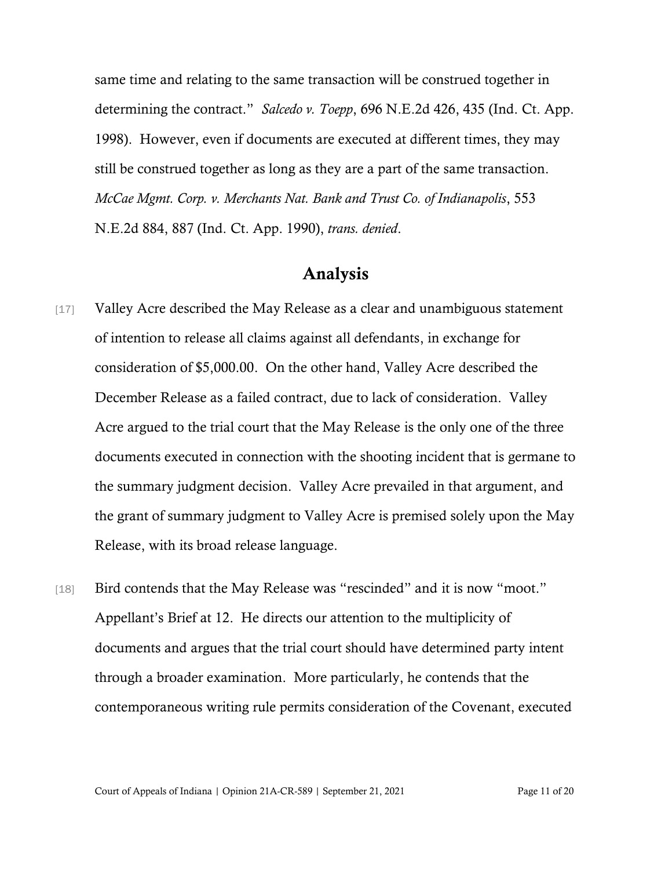same time and relating to the same transaction will be construed together in determining the contract." *Salcedo v. Toepp*, 696 N.E.2d 426, 435 (Ind. Ct. App. 1998). However, even if documents are executed at different times, they may still be construed together as long as they are a part of the same transaction. *McCae Mgmt. Corp. v. Merchants Nat. Bank and Trust Co. of Indianapolis*, 553 N.E.2d 884, 887 (Ind. Ct. App. 1990), *trans. denied*.

#### Analysis

- [17] Valley Acre described the May Release as a clear and unambiguous statement of intention to release all claims against all defendants, in exchange for consideration of \$5,000.00. On the other hand, Valley Acre described the December Release as a failed contract, due to lack of consideration. Valley Acre argued to the trial court that the May Release is the only one of the three documents executed in connection with the shooting incident that is germane to the summary judgment decision. Valley Acre prevailed in that argument, and the grant of summary judgment to Valley Acre is premised solely upon the May Release, with its broad release language.
- [18] Bird contends that the May Release was "rescinded" and it is now "moot." Appellant's Brief at 12. He directs our attention to the multiplicity of documents and argues that the trial court should have determined party intent through a broader examination. More particularly, he contends that the contemporaneous writing rule permits consideration of the Covenant, executed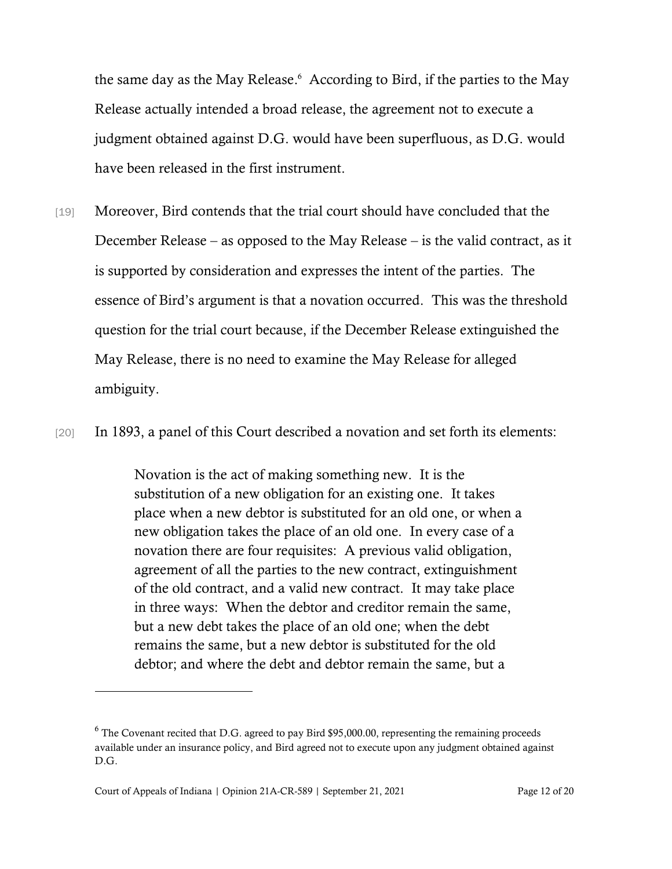the same day as the May Release. <sup>6</sup> According to Bird, if the parties to the May Release actually intended a broad release, the agreement not to execute a judgment obtained against D.G. would have been superfluous, as D.G. would have been released in the first instrument.

[19] Moreover, Bird contends that the trial court should have concluded that the December Release – as opposed to the May Release – is the valid contract, as it is supported by consideration and expresses the intent of the parties. The essence of Bird's argument is that a novation occurred. This was the threshold question for the trial court because, if the December Release extinguished the May Release, there is no need to examine the May Release for alleged ambiguity.

[20] In 1893, a panel of this Court described a novation and set forth its elements:

Novation is the act of making something new. It is the substitution of a new obligation for an existing one. It takes place when a new debtor is substituted for an old one, or when a new obligation takes the place of an old one. In every case of a novation there are four requisites: A previous valid obligation, agreement of all the parties to the new contract, extinguishment of the old contract, and a valid new contract. It may take place in three ways: When the debtor and creditor remain the same, but a new debt takes the place of an old one; when the debt remains the same, but a new debtor is substituted for the old debtor; and where the debt and debtor remain the same, but a

 $6$  The Covenant recited that D.G. agreed to pay Bird \$95,000.00, representing the remaining proceeds available under an insurance policy, and Bird agreed not to execute upon any judgment obtained against D.G.

Court of Appeals of Indiana | Opinion 21A-CR-589 | September 21, 2021 Page 12 of 20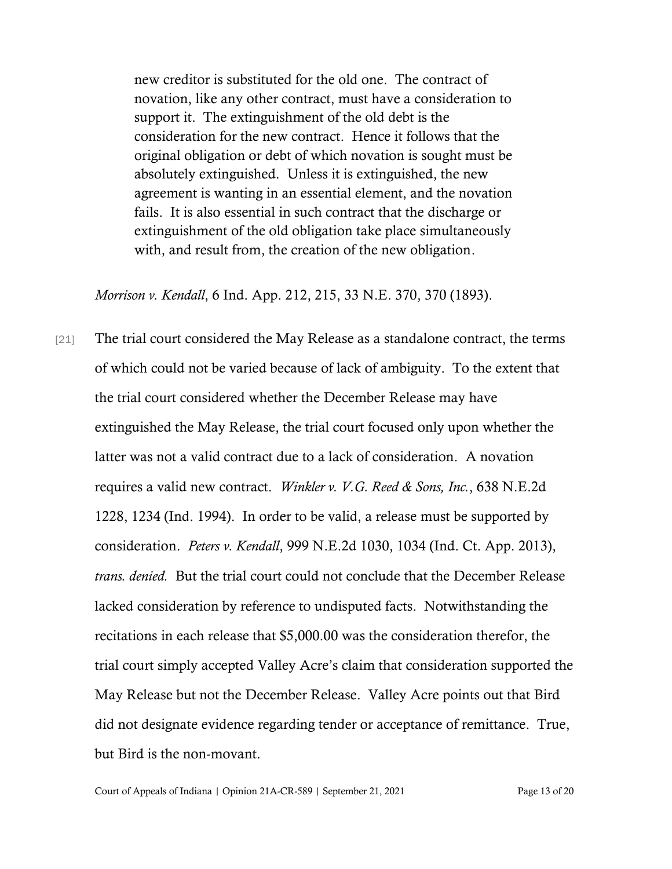new creditor is substituted for the old one. The contract of novation, like any other contract, must have a consideration to support it. The extinguishment of the old debt is the consideration for the new contract. Hence it follows that the original obligation or debt of which novation is sought must be absolutely extinguished. Unless it is extinguished, the new agreement is wanting in an essential element, and the novation fails. It is also essential in such contract that the discharge or extinguishment of the old obligation take place simultaneously with, and result from, the creation of the new obligation.

*Morrison v. Kendall*, 6 Ind. App. 212, 215, 33 N.E. 370, 370 (1893).

[21] The trial court considered the May Release as a standalone contract, the terms of which could not be varied because of lack of ambiguity. To the extent that the trial court considered whether the December Release may have extinguished the May Release, the trial court focused only upon whether the latter was not a valid contract due to a lack of consideration. A novation requires a valid new contract. *Winkler v. V.G. Reed & Sons, Inc.*, 638 N.E.2d 1228, 1234 (Ind. 1994). In order to be valid, a release must be supported by consideration. *Peters v. Kendall*, 999 N.E.2d 1030, 1034 (Ind. Ct. App. 2013), *trans. denied.* But the trial court could not conclude that the December Release lacked consideration by reference to undisputed facts. Notwithstanding the recitations in each release that \$5,000.00 was the consideration therefor, the trial court simply accepted Valley Acre's claim that consideration supported the May Release but not the December Release. Valley Acre points out that Bird did not designate evidence regarding tender or acceptance of remittance. True, but Bird is the non-movant.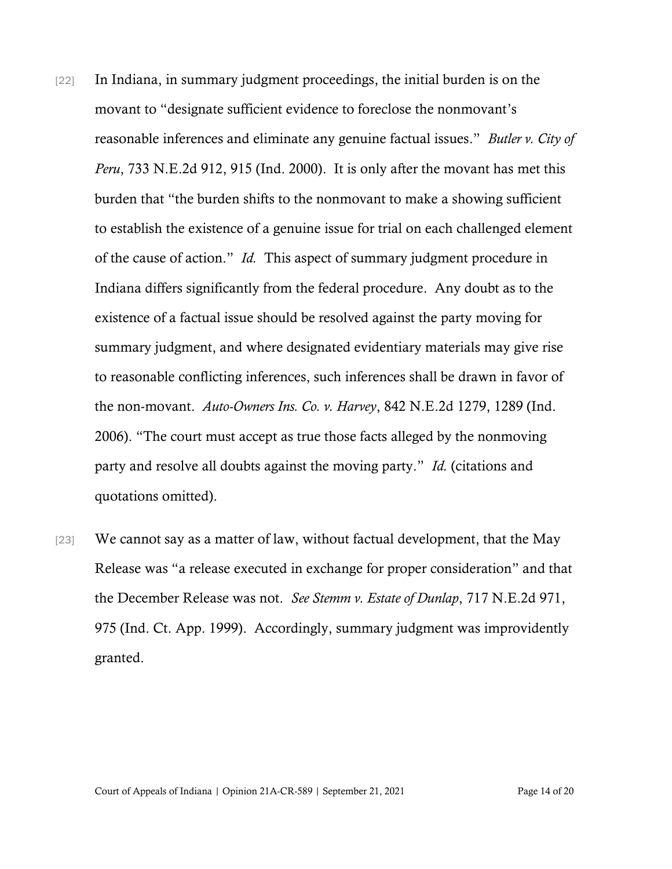- [22] In Indiana, in summary judgment proceedings, the initial burden is on the movant to "designate sufficient evidence to foreclose the nonmovant's reasonable inferences and eliminate any genuine factual issues." *Butler v. City of Peru*, 733 N.E.2d 912, 915 (Ind. 2000). It is only after the movant has met this burden that "the burden shifts to the nonmovant to make a showing sufficient to establish the existence of a genuine issue for trial on each challenged element of the cause of action." *Id.* This aspect of summary judgment procedure in Indiana differs significantly from the federal procedure. Any doubt as to the existence of a factual issue should be resolved against the party moving for summary judgment, and where designated evidentiary materials may give rise to reasonable conflicting inferences, such inferences shall be drawn in favor of the non-movant. *Auto-Owners Ins. Co. v. Harvey*, 842 N.E.2d 1279, 1289 (Ind. 2006). "The court must accept as true those facts alleged by the nonmoving party and resolve all doubts against the moving party." *Id.* (citations and quotations omitted).
- $[23]$  We cannot say as a matter of law, without factual development, that the May Release was "a release executed in exchange for proper consideration" and that the December Release was not. *See Stemm v. Estate of Dunlap*, 717 N.E.2d 971, 975 (Ind. Ct. App. 1999). Accordingly, summary judgment was improvidently granted.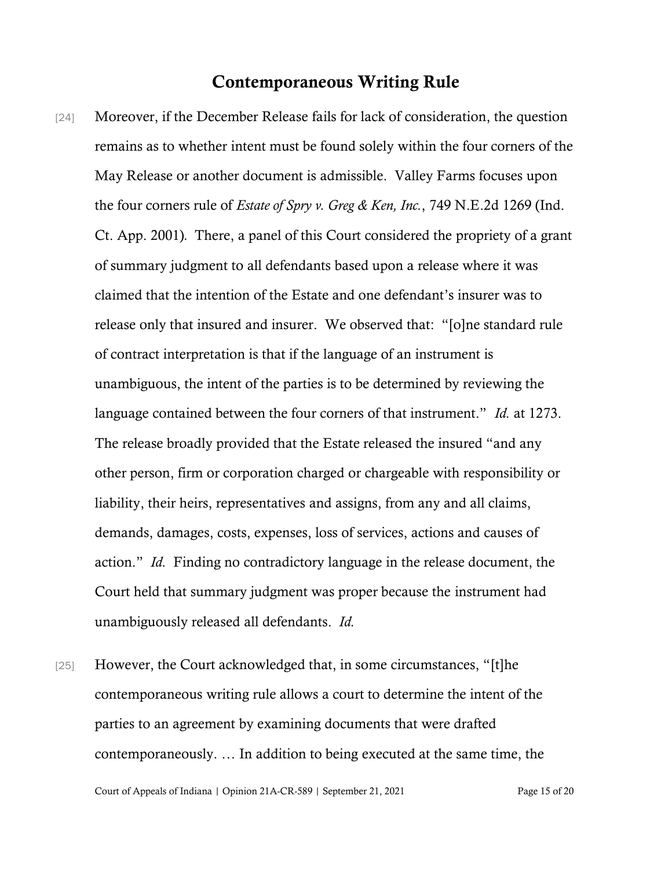#### Contemporaneous Writing Rule

- [24] Moreover, if the December Release fails for lack of consideration, the question remains as to whether intent must be found solely within the four corners of the May Release or another document is admissible. Valley Farms focuses upon the four corners rule of *Estate of Spry v. Greg & Ken, Inc.*, 749 N.E.2d 1269 (Ind. Ct. App. 2001)*.* There, a panel of this Court considered the propriety of a grant of summary judgment to all defendants based upon a release where it was claimed that the intention of the Estate and one defendant's insurer was to release only that insured and insurer. We observed that: "[o]ne standard rule of contract interpretation is that if the language of an instrument is unambiguous, the intent of the parties is to be determined by reviewing the language contained between the four corners of that instrument." *Id.* at 1273. The release broadly provided that the Estate released the insured "and any other person, firm or corporation charged or chargeable with responsibility or liability, their heirs, representatives and assigns, from any and all claims, demands, damages, costs, expenses, loss of services, actions and causes of action." *Id.* Finding no contradictory language in the release document, the Court held that summary judgment was proper because the instrument had unambiguously released all defendants. *Id.*
- [25] However, the Court acknowledged that, in some circumstances, "[t]he contemporaneous writing rule allows a court to determine the intent of the parties to an agreement by examining documents that were drafted contemporaneously. … In addition to being executed at the same time, the

Court of Appeals of Indiana | Opinion 21A-CR-589 | September 21, 2021 Page 15 of 20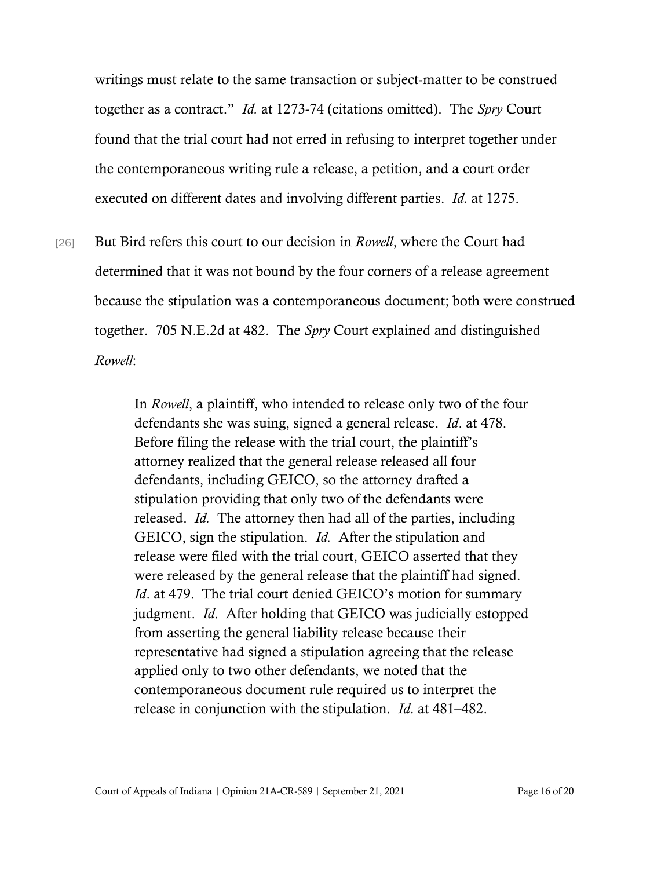writings must relate to the same transaction or subject-matter to be construed together as a contract." *Id.* at 1273-74 (citations omitted). The *Spry* Court found that the trial court had not erred in refusing to interpret together under the contemporaneous writing rule a release, a petition, and a court order executed on different dates and involving different parties. *Id.* at 1275.

[26] But Bird refers this court to our decision in *Rowell*, where the Court had determined that it was not bound by the four corners of a release agreement because the stipulation was a contemporaneous document; both were construed together. 705 N.E.2d at 482. The *Spry* Court explained and distinguished *Rowell*:

> In *Rowell*, a plaintiff, who intended to release only two of the four defendants she was suing, signed a general release. *Id*. at 478. Before filing the release with the trial court, the plaintiff's attorney realized that the general release released all four defendants, including GEICO, so the attorney drafted a stipulation providing that only two of the defendants were released. *Id.* The attorney then had all of the parties, including GEICO, sign the stipulation. *Id.* After the stipulation and release were filed with the trial court, GEICO asserted that they were released by the general release that the plaintiff had signed. *Id*. at 479. The trial court denied GEICO's motion for summary judgment. *Id*. After holding that GEICO was judicially estopped from asserting the general liability release because their representative had signed a stipulation agreeing that the release applied only to two other defendants, we noted that the contemporaneous document rule required us to interpret the release in conjunction with the stipulation. *Id*. at 481–482.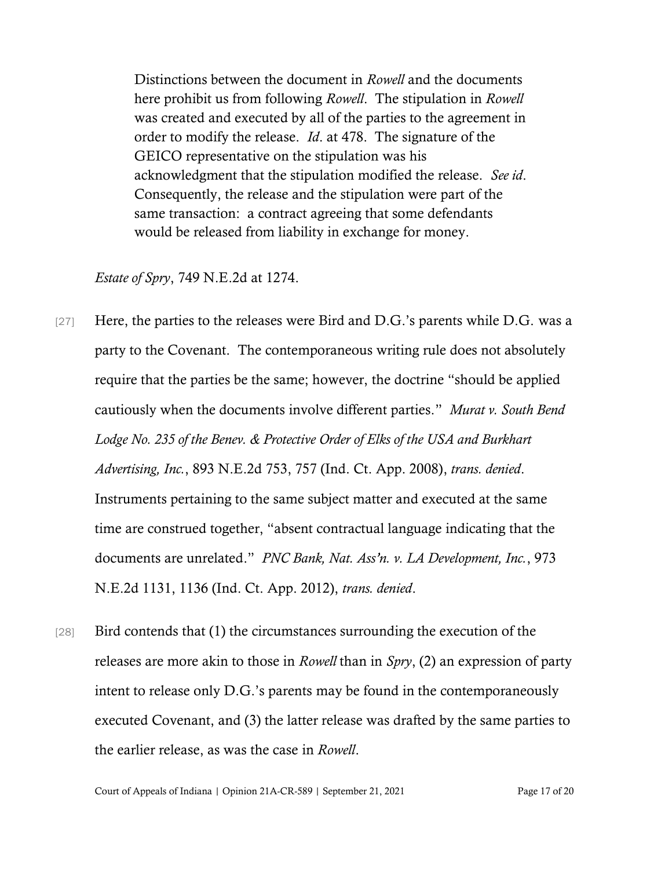Distinctions between the document in *Rowell* and the documents here prohibit us from following *Rowell*. The stipulation in *Rowell* was created and executed by all of the parties to the agreement in order to modify the release. *Id*. at 478. The signature of the GEICO representative on the stipulation was his acknowledgment that the stipulation modified the release. *See id*. Consequently, the release and the stipulation were part of the same transaction: a contract agreeing that some defendants would be released from liability in exchange for money.

#### *Estate of Spry*, 749 N.E.2d at 1274.

- [27] Here, the parties to the releases were Bird and D.G.'s parents while D.G. was a party to the Covenant. The contemporaneous writing rule does not absolutely require that the parties be the same; however, the doctrine "should be applied cautiously when the documents involve different parties." *Murat v. South Bend Lodge No. 235 of the Benev. & Protective Order of Elks of the USA and Burkhart Advertising, Inc.*, 893 N.E.2d 753, 757 (Ind. Ct. App. 2008), *trans. denied*. Instruments pertaining to the same subject matter and executed at the same time are construed together, "absent contractual language indicating that the documents are unrelated." *PNC Bank, Nat. Ass'n. v. LA Development, Inc.*, 973 N.E.2d 1131, 1136 (Ind. Ct. App. 2012), *trans. denied*.
- [28] Bird contends that (1) the circumstances surrounding the execution of the releases are more akin to those in *Rowell* than in *Spry*, (2) an expression of party intent to release only D.G.'s parents may be found in the contemporaneously executed Covenant, and (3) the latter release was drafted by the same parties to the earlier release, as was the case in *Rowell*.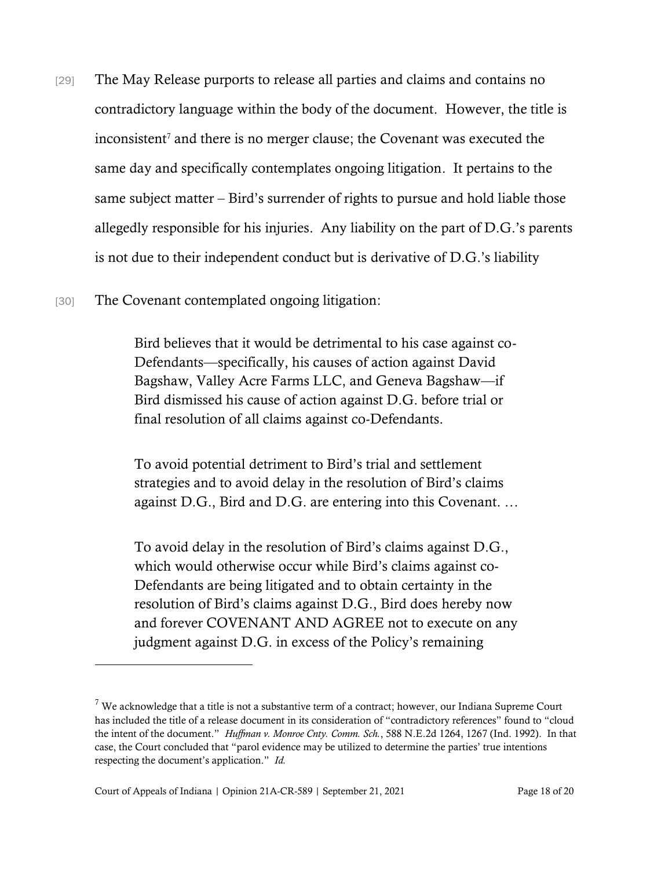- [29] The May Release purports to release all parties and claims and contains no contradictory language within the body of the document. However, the title is  $inconsistent<sup>7</sup>$  and there is no merger clause; the Covenant was executed the same day and specifically contemplates ongoing litigation. It pertains to the same subject matter – Bird's surrender of rights to pursue and hold liable those allegedly responsible for his injuries. Any liability on the part of D.G.'s parents is not due to their independent conduct but is derivative of D.G.'s liability
- [30] The Covenant contemplated ongoing litigation:

Bird believes that it would be detrimental to his case against co-Defendants—specifically, his causes of action against David Bagshaw, Valley Acre Farms LLC, and Geneva Bagshaw—if Bird dismissed his cause of action against D.G. before trial or final resolution of all claims against co-Defendants.

To avoid potential detriment to Bird's trial and settlement strategies and to avoid delay in the resolution of Bird's claims against D.G., Bird and D.G. are entering into this Covenant. …

To avoid delay in the resolution of Bird's claims against D.G., which would otherwise occur while Bird's claims against co-Defendants are being litigated and to obtain certainty in the resolution of Bird's claims against D.G., Bird does hereby now and forever COVENANT AND AGREE not to execute on any judgment against D.G. in excess of the Policy's remaining

 $7$  We acknowledge that a title is not a substantive term of a contract; however, our Indiana Supreme Court has included the title of a release document in its consideration of "contradictory references" found to "cloud the intent of the document." *Huffman v. Monroe Cnty. Comm. Sch.*, 588 N.E.2d 1264, 1267 (Ind. 1992). In that case, the Court concluded that "parol evidence may be utilized to determine the parties' true intentions respecting the document's application." *Id.*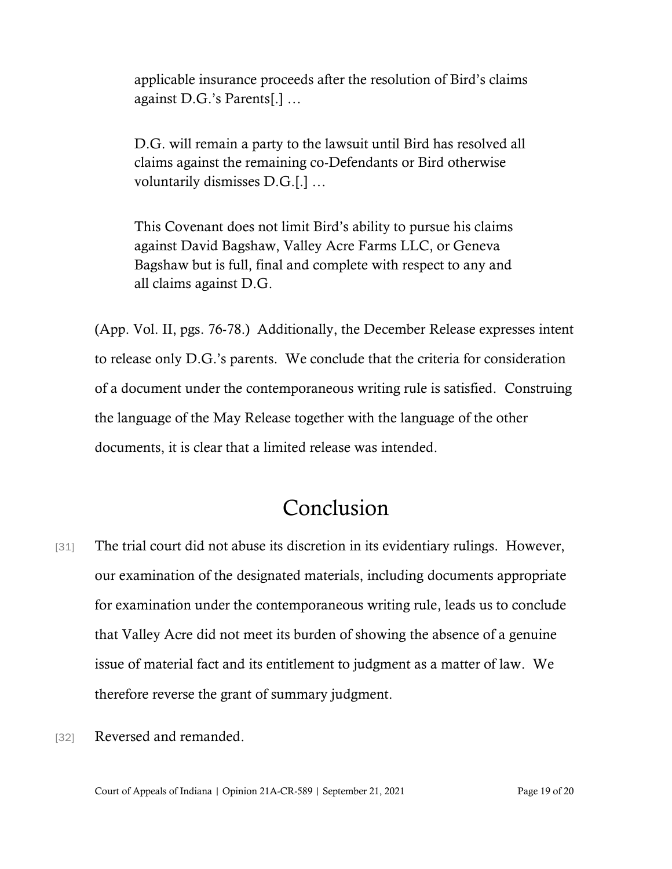applicable insurance proceeds after the resolution of Bird's claims against D.G.'s Parents[.] …

D.G. will remain a party to the lawsuit until Bird has resolved all claims against the remaining co-Defendants or Bird otherwise voluntarily dismisses D.G.[.] …

This Covenant does not limit Bird's ability to pursue his claims against David Bagshaw, Valley Acre Farms LLC, or Geneva Bagshaw but is full, final and complete with respect to any and all claims against D.G.

(App. Vol. II, pgs. 76-78.) Additionally, the December Release expresses intent to release only D.G.'s parents. We conclude that the criteria for consideration of a document under the contemporaneous writing rule is satisfied. Construing the language of the May Release together with the language of the other documents, it is clear that a limited release was intended.

### Conclusion

- [31] The trial court did not abuse its discretion in its evidentiary rulings. However, our examination of the designated materials, including documents appropriate for examination under the contemporaneous writing rule, leads us to conclude that Valley Acre did not meet its burden of showing the absence of a genuine issue of material fact and its entitlement to judgment as a matter of law. We therefore reverse the grant of summary judgment.
- [32] Reversed and remanded.